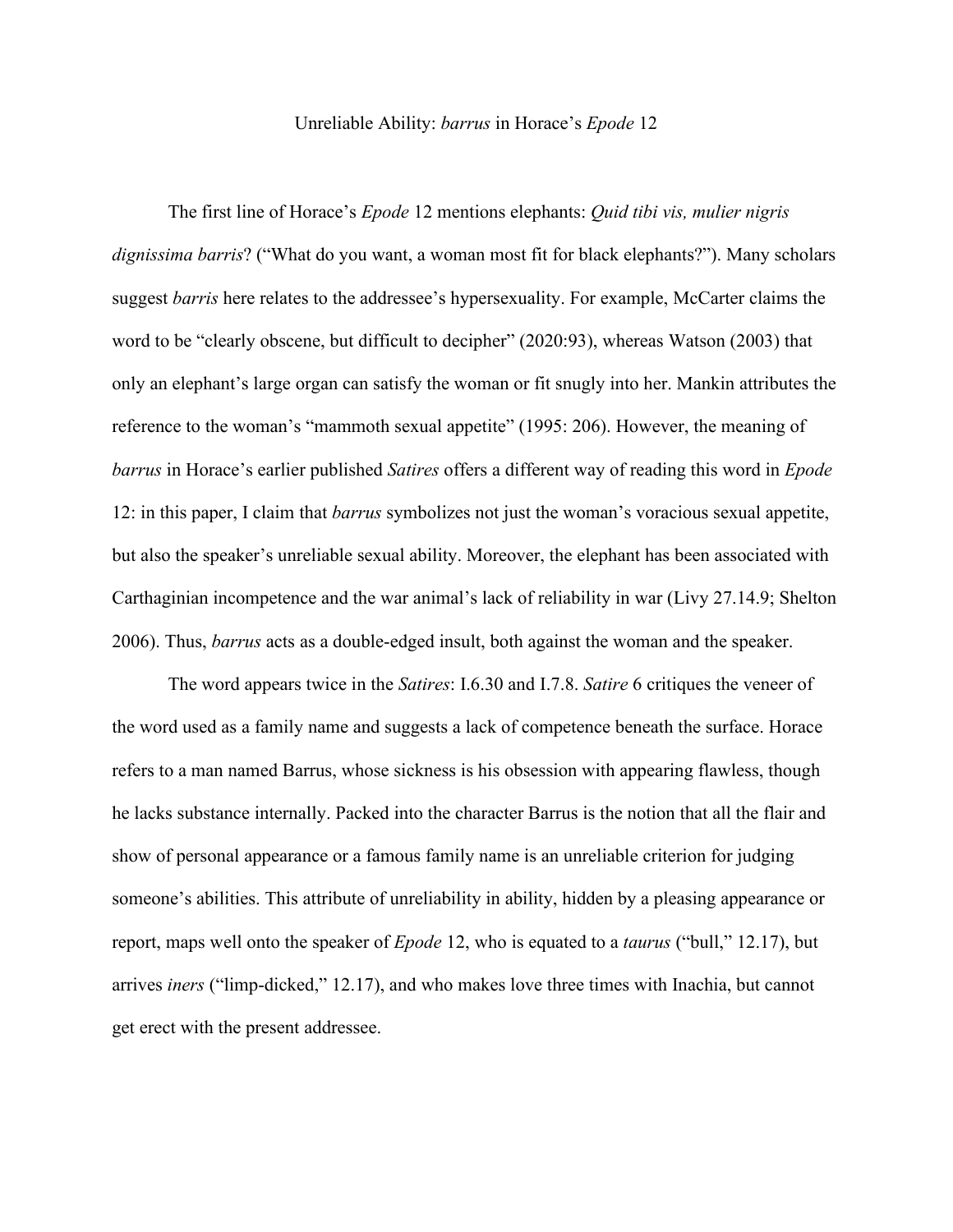## Unreliable Ability: *barrus* in Horace's *Epode* 12

The first line of Horace's *Epode* 12 mentions elephants: *Quid tibi vis, mulier nigris dignissima barris*? ("What do you want, a woman most fit for black elephants?"). Many scholars suggest *barris* here relates to the addressee's hypersexuality. For example, McCarter claims the word to be "clearly obscene, but difficult to decipher" (2020:93), whereas Watson (2003) that only an elephant's large organ can satisfy the woman or fit snugly into her. Mankin attributes the reference to the woman's "mammoth sexual appetite" (1995: 206). However, the meaning of *barrus* in Horace's earlier published *Satires* offers a different way of reading this word in *Epode*  12: in this paper, I claim that *barrus* symbolizes not just the woman's voracious sexual appetite, but also the speaker's unreliable sexual ability. Moreover, the elephant has been associated with Carthaginian incompetence and the war animal's lack of reliability in war (Livy 27.14.9; Shelton 2006). Thus, *barrus* acts as a double-edged insult, both against the woman and the speaker.

The word appears twice in the *Satires*: I.6.30 and I.7.8. *Satire* 6 critiques the veneer of the word used as a family name and suggests a lack of competence beneath the surface. Horace refers to a man named Barrus, whose sickness is his obsession with appearing flawless, though he lacks substance internally. Packed into the character Barrus is the notion that all the flair and show of personal appearance or a famous family name is an unreliable criterion for judging someone's abilities. This attribute of unreliability in ability, hidden by a pleasing appearance or report, maps well onto the speaker of *Epode* 12, who is equated to a *taurus* ("bull," 12.17), but arrives *iners* ("limp-dicked," 12.17), and who makes love three times with Inachia, but cannot get erect with the present addressee.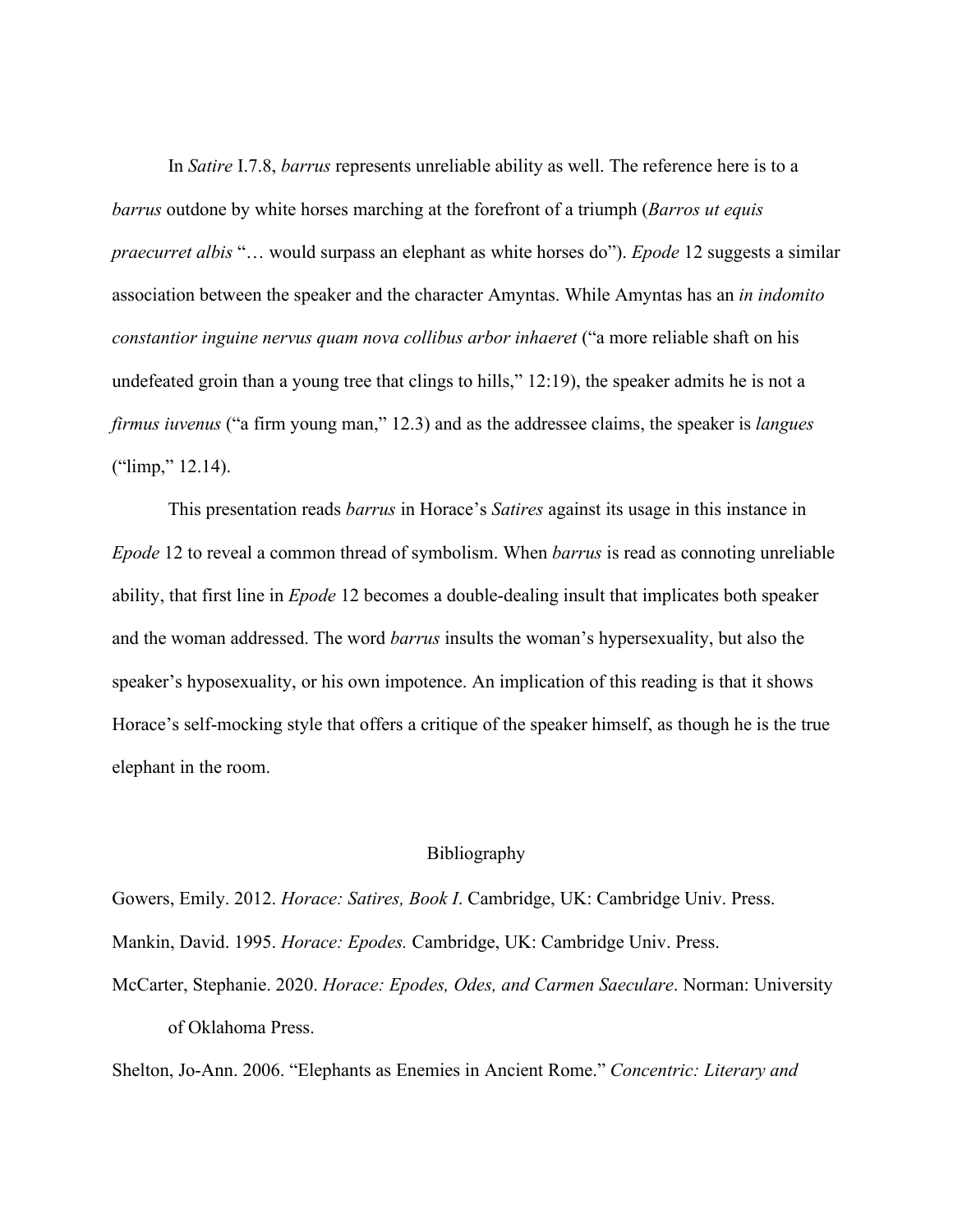In *Satire* I.7.8, *barrus* represents unreliable ability as well. The reference here is to a *barrus* outdone by white horses marching at the forefront of a triumph (*Barros ut equis praecurret albis* "… would surpass an elephant as white horses do"). *Epode* 12 suggests a similar association between the speaker and the character Amyntas. While Amyntas has an *in indomito constantior inguine nervus quam nova collibus arbor inhaeret* ("a more reliable shaft on his undefeated groin than a young tree that clings to hills," 12:19), the speaker admits he is not a *firmus iuvenus* ("a firm young man," 12.3) and as the addressee claims, the speaker is *langues* ("limp," 12.14).

This presentation reads *barrus* in Horace's *Satires* against its usage in this instance in *Epode* 12 to reveal a common thread of symbolism. When *barrus* is read as connoting unreliable ability, that first line in *Epode* 12 becomes a double-dealing insult that implicates both speaker and the woman addressed. The word *barrus* insults the woman's hypersexuality, but also the speaker's hyposexuality, or his own impotence. An implication of this reading is that it shows Horace's self-mocking style that offers a critique of the speaker himself, as though he is the true elephant in the room.

## Bibliography

Gowers, Emily. 2012. *Horace: Satires, Book I*. Cambridge, UK: Cambridge Univ. Press. Mankin, David. 1995. *Horace: Epodes.* Cambridge, UK: Cambridge Univ. Press. McCarter, Stephanie. 2020. *Horace: Epodes, Odes, and Carmen Saeculare*. Norman: University of Oklahoma Press.

Shelton, Jo-Ann. 2006. "Elephants as Enemies in Ancient Rome." *Concentric: Literary and*